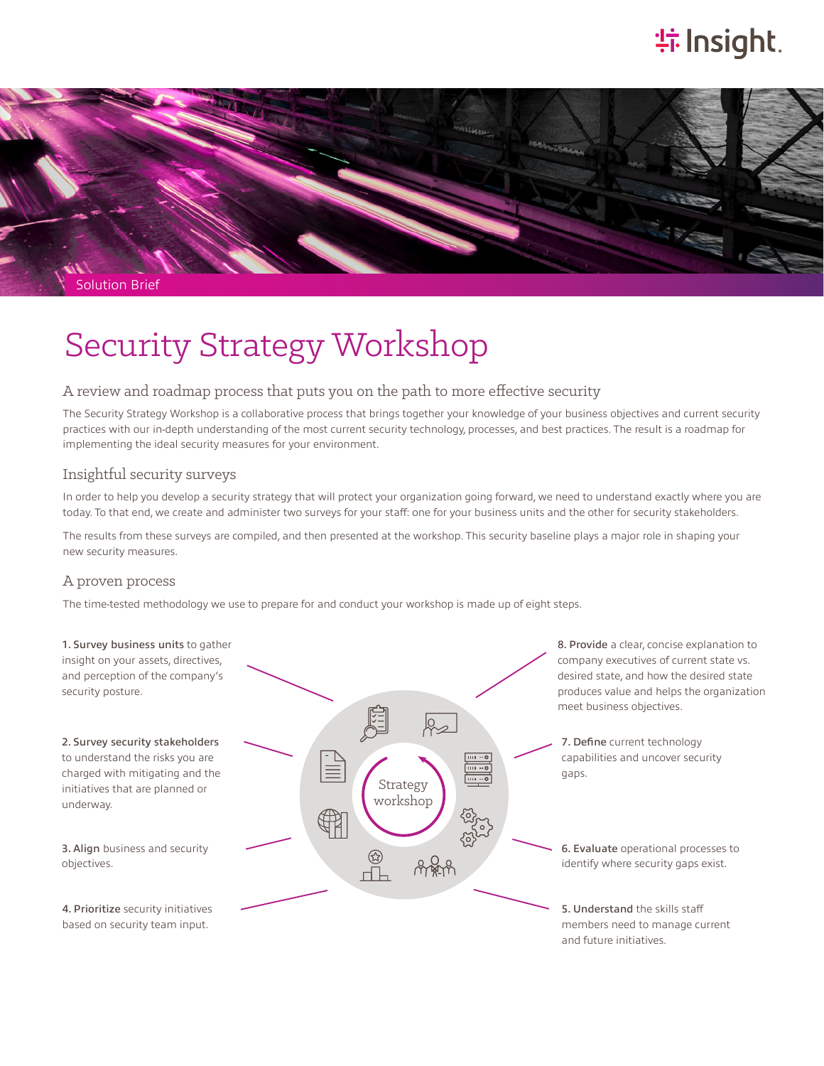# **特Insight**.



# Security Strategy Workshop

#### A review and roadmap process that puts you on the path to more effective security

The Security Strategy Workshop is a collaborative process that brings together your knowledge of your business objectives and current security practices with our in-depth understanding of the most current security technology, processes, and best practices. The result is a roadmap for implementing the ideal security measures for your environment.

#### Insightful security surveys

In order to help you develop a security strategy that will protect your organization going forward, we need to understand exactly where you are today. To that end, we create and administer two surveys for your staff: one for your business units and the other for security stakeholders.

The results from these surveys are compiled, and then presented at the workshop. This security baseline plays a major role in shaping your new security measures.

#### A proven process

The time-tested methodology we use to prepare for and conduct your workshop is made up of eight steps.